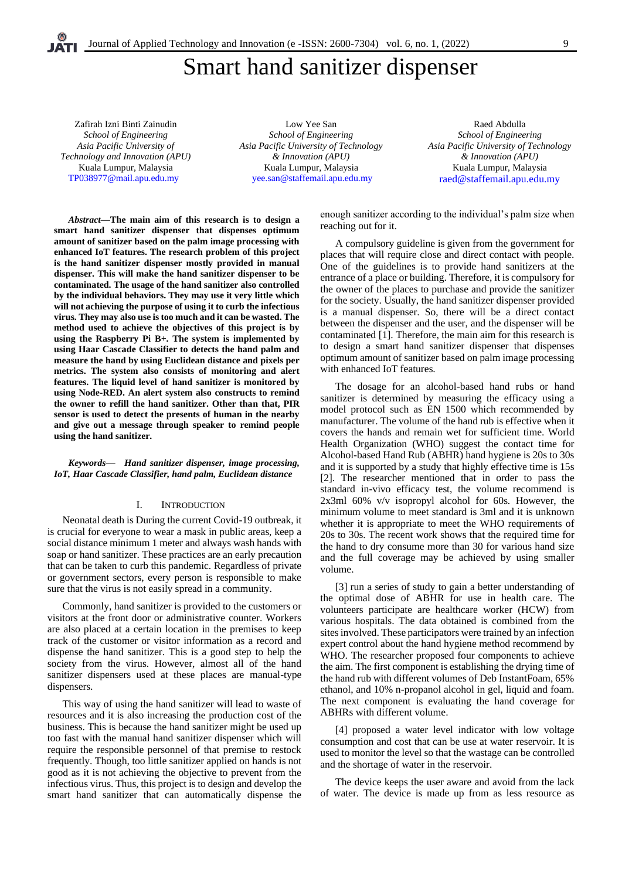# Smart hand sanitizer dispenser

Zafirah Izni Binti Zainudin *School of Engineering Asia Pacific University of Technology and Innovation (APU)* Kuala Lumpur, Malaysia [TP038977@mail.apu.edu.my](mailto:%20TP038977@mail.apu.edu.my)

Low Yee San *School of Engineering Asia Pacific University of Technology & Innovation (APU)* Kuala Lumpur, Malaysia [yee.san@staffemail.apu.edu.my](mailto:%20yee.san@staffemail.apu.edu.my)

Raed Abdulla *School of Engineering Asia Pacific University of Technology & Innovation (APU)* Kuala Lumpur, Malaysia [raed@staffemail.apu.edu.my](mailto:raed@staffemail.apu.edu.my)

*Abstract—***The main aim of this research is to design a smart hand sanitizer dispenser that dispenses optimum amount of sanitizer based on the palm image processing with enhanced IoT features. The research problem of this project is the hand sanitizer dispenser mostly provided in manual dispenser. This will make the hand sanitizer dispenser to be contaminated. The usage of the hand sanitizer also controlled by the individual behaviors. They may use it very little which will not achieving the purpose of using it to curb the infectious virus. They may also use is too much and it can be wasted. The method used to achieve the objectives of this project is by using the Raspberry Pi B+. The system is implemented by using Haar Cascade Classifier to detects the hand palm and measure the hand by using Euclidean distance and pixels per metrics. The system also consists of monitoring and alert features. The liquid level of hand sanitizer is monitored by using Node-RED. An alert system also constructs to remind the owner to refill the hand sanitizer. Other than that, PIR sensor is used to detect the presents of human in the nearby and give out a message through speaker to remind people using the hand sanitizer.**

*Keywords— Hand sanitizer dispenser, image processing, IoT, Haar Cascade Classifier, hand palm, Euclidean distance*

## I. INTRODUCTION

Neonatal death is During the current Covid-19 outbreak, it is crucial for everyone to wear a mask in public areas, keep a social distance minimum 1 meter and always wash hands with soap or hand sanitizer. These practices are an early precaution that can be taken to curb this pandemic. Regardless of private or government sectors, every person is responsible to make sure that the virus is not easily spread in a community.

Commonly, hand sanitizer is provided to the customers or visitors at the front door or administrative counter. Workers are also placed at a certain location in the premises to keep track of the customer or visitor information as a record and dispense the hand sanitizer. This is a good step to help the society from the virus. However, almost all of the hand sanitizer dispensers used at these places are manual-type dispensers.

This way of using the hand sanitizer will lead to waste of resources and it is also increasing the production cost of the business. This is because the hand sanitizer might be used up too fast with the manual hand sanitizer dispenser which will require the responsible personnel of that premise to restock frequently. Though, too little sanitizer applied on hands is not good as it is not achieving the objective to prevent from the infectious virus. Thus, this project is to design and develop the smart hand sanitizer that can automatically dispense the

enough sanitizer according to the individual's palm size when reaching out for it.

A compulsory guideline is given from the government for places that will require close and direct contact with people. One of the guidelines is to provide hand sanitizers at the entrance of a place or building. Therefore, it is compulsory for the owner of the places to purchase and provide the sanitizer for the society. Usually, the hand sanitizer dispenser provided is a manual dispenser. So, there will be a direct contact between the dispenser and the user, and the dispenser will be contaminated [1]. Therefore, the main aim for this research is to design a smart hand sanitizer dispenser that dispenses optimum amount of sanitizer based on palm image processing with enhanced IoT features.

The dosage for an alcohol-based hand rubs or hand sanitizer is determined by measuring the efficacy using a model protocol such as EN 1500 which recommended by manufacturer. The volume of the hand rub is effective when it covers the hands and remain wet for sufficient time. World Health Organization (WHO) suggest the contact time for Alcohol-based Hand Rub (ABHR) hand hygiene is 20s to 30s and it is supported by a study that highly effective time is 15s [2]. The researcher mentioned that in order to pass the standard in-vivo efficacy test, the volume recommend is 2x3ml 60% v/v isopropyl alcohol for 60s. However, the minimum volume to meet standard is 3ml and it is unknown whether it is appropriate to meet the WHO requirements of 20s to 30s. The recent work shows that the required time for the hand to dry consume more than 30 for various hand size and the full coverage may be achieved by using smaller volume.

[3] run a series of study to gain a better understanding of the optimal dose of ABHR for use in health care. The volunteers participate are healthcare worker (HCW) from various hospitals. The data obtained is combined from the sites involved. These participators were trained by an infection expert control about the hand hygiene method recommend by WHO. The researcher proposed four components to achieve the aim. The first component is establishing the drying time of the hand rub with different volumes of Deb InstantFoam, 65% ethanol, and 10% n-propanol alcohol in gel, liquid and foam. The next component is evaluating the hand coverage for ABHRs with different volume.

[4] proposed a water level indicator with low voltage consumption and cost that can be use at water reservoir. It is used to monitor the level so that the wastage can be controlled and the shortage of water in the reservoir.

The device keeps the user aware and avoid from the lack of water. The device is made up from as less resource as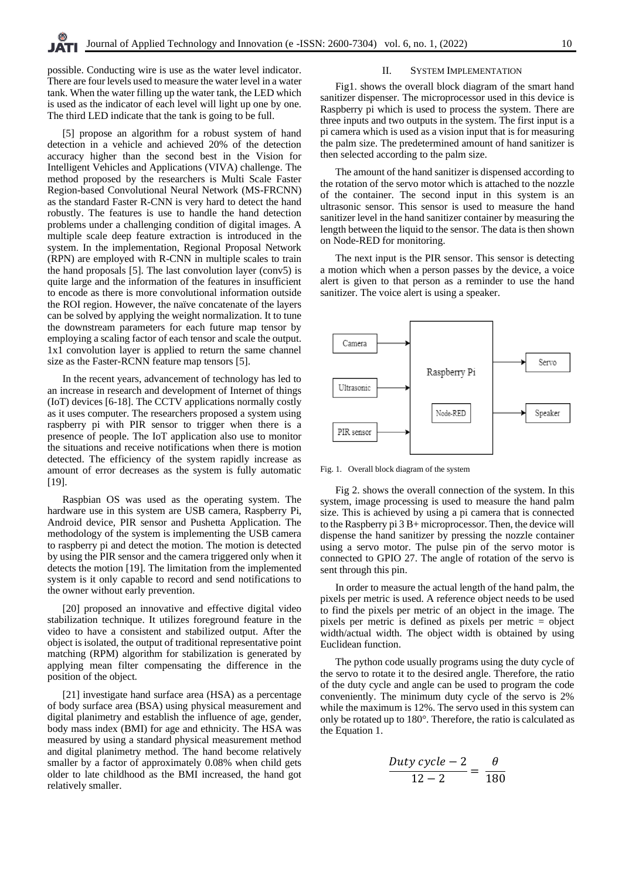possible. Conducting wire is use as the water level indicator. There are four levels used to measure the water level in a water tank. When the water filling up the water tank, the LED which is used as the indicator of each level will light up one by one. The third LED indicate that the tank is going to be full.

[5] propose an algorithm for a robust system of hand detection in a vehicle and achieved 20% of the detection accuracy higher than the second best in the Vision for Intelligent Vehicles and Applications (VIVA) challenge. The method proposed by the researchers is Multi Scale Faster Region-based Convolutional Neural Network (MS-FRCNN) as the standard Faster R-CNN is very hard to detect the hand robustly. The features is use to handle the hand detection problems under a challenging condition of digital images. A multiple scale deep feature extraction is introduced in the system. In the implementation, Regional Proposal Network (RPN) are employed with R-CNN in multiple scales to train the hand proposals [5]. The last convolution layer (conv5) is quite large and the information of the features in insufficient to encode as there is more convolutional information outside the ROI region. However, the naïve concatenate of the layers can be solved by applying the weight normalization. It to tune the downstream parameters for each future map tensor by employing a scaling factor of each tensor and scale the output. 1x1 convolution layer is applied to return the same channel size as the Faster-RCNN feature map tensors [5].

In the recent years, advancement of technology has led to an increase in research and development of Internet of things (IoT) devices [6-18]. The CCTV applications normally costly as it uses computer. The researchers proposed a system using raspberry pi with PIR sensor to trigger when there is a presence of people. The IoT application also use to monitor the situations and receive notifications when there is motion detected. The efficiency of the system rapidly increase as amount of error decreases as the system is fully automatic [19].

Raspbian OS was used as the operating system. The hardware use in this system are USB camera, Raspberry Pi, Android device, PIR sensor and Pushetta Application. The methodology of the system is implementing the USB camera to raspberry pi and detect the motion. The motion is detected by using the PIR sensor and the camera triggered only when it detects the motion [19]. The limitation from the implemented system is it only capable to record and send notifications to the owner without early prevention.

[20] proposed an innovative and effective digital video stabilization technique. It utilizes foreground feature in the video to have a consistent and stabilized output. After the object is isolated, the output of traditional representative point matching (RPM) algorithm for stabilization is generated by applying mean filter compensating the difference in the position of the object.

[21] investigate hand surface area (HSA) as a percentage of body surface area (BSA) using physical measurement and digital planimetry and establish the influence of age, gender, body mass index (BMI) for age and ethnicity. The HSA was measured by using a standard physical measurement method and digital planimetry method. The hand become relatively smaller by a factor of approximately 0.08% when child gets older to late childhood as the BMI increased, the hand got relatively smaller.

### II. SYSTEM IMPLEMENTATION

Fig1. shows the overall block diagram of the smart hand sanitizer dispenser. The microprocessor used in this device is Raspberry pi which is used to process the system. There are three inputs and two outputs in the system. The first input is a pi camera which is used as a vision input that is for measuring the palm size. The predetermined amount of hand sanitizer is then selected according to the palm size.

The amount of the hand sanitizer is dispensed according to the rotation of the servo motor which is attached to the nozzle of the container. The second input in this system is an ultrasonic sensor. This sensor is used to measure the hand sanitizer level in the hand sanitizer container by measuring the length between the liquid to the sensor. The data is then shown on Node-RED for monitoring.

The next input is the PIR sensor. This sensor is detecting a motion which when a person passes by the device, a voice alert is given to that person as a reminder to use the hand sanitizer. The voice alert is using a speaker.



Fig. 1. Overall block diagram of the system

Fig 2. shows the overall connection of the system. In this system, image processing is used to measure the hand palm size. This is achieved by using a pi camera that is connected to the Raspberry pi 3 B+ microprocessor. Then, the device will dispense the hand sanitizer by pressing the nozzle container using a servo motor. The pulse pin of the servo motor is connected to GPIO 27. The angle of rotation of the servo is sent through this pin.

In order to measure the actual length of the hand palm, the pixels per metric is used. A reference object needs to be used to find the pixels per metric of an object in the image. The pixels per metric is defined as pixels per metric = object width/actual width. The object width is obtained by using Euclidean function.

The python code usually programs using the duty cycle of the servo to rotate it to the desired angle. Therefore, the ratio of the duty cycle and angle can be used to program the code conveniently. The minimum duty cycle of the servo is 2% while the maximum is 12%. The servo used in this system can only be rotated up to 180°. Therefore, the ratio is calculated as the Equation 1.

$$
\frac{Duty\ cycle - 2}{12 - 2} = \frac{\theta}{180}
$$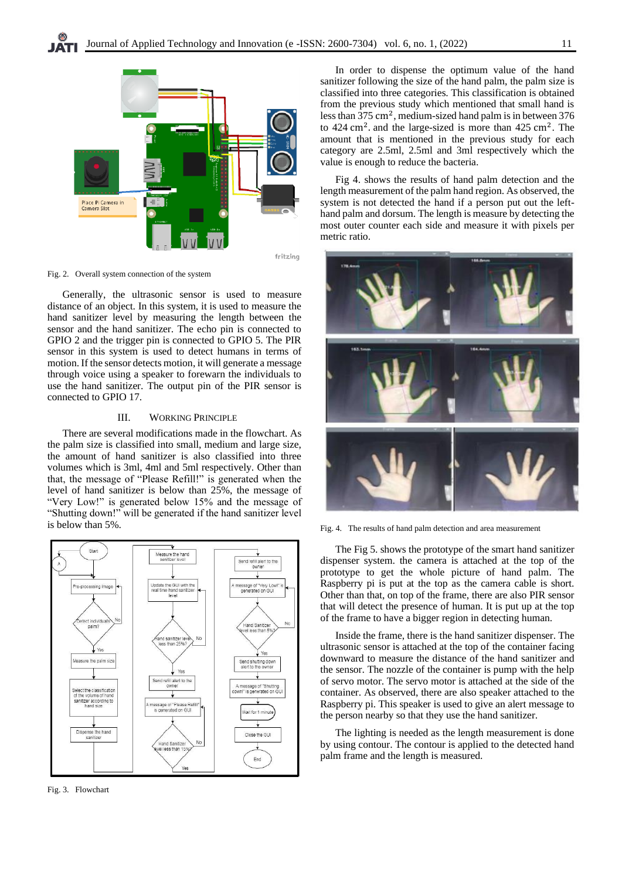

Fig. 2. Overall system connection of the system

Generally, the ultrasonic sensor is used to measure distance of an object. In this system, it is used to measure the hand sanitizer level by measuring the length between the sensor and the hand sanitizer. The echo pin is connected to GPIO 2 and the trigger pin is connected to GPIO 5. The PIR sensor in this system is used to detect humans in terms of motion. If the sensor detects motion, it will generate a message through voice using a speaker to forewarn the individuals to use the hand sanitizer. The output pin of the PIR sensor is connected to GPIO 17.

# III. WORKING PRINCIPLE

There are several modifications made in the flowchart. As the palm size is classified into small, medium and large size, the amount of hand sanitizer is also classified into three volumes which is 3ml, 4ml and 5ml respectively. Other than that, the message of "Please Refill!" is generated when the level of hand sanitizer is below than 25%, the message of "Very Low!" is generated below 15% and the message of "Shutting down!" will be generated if the hand sanitizer level is below than 5%.



Fig. 3. Flowchart

In order to dispense the optimum value of the hand sanitizer following the size of the hand palm, the palm size is classified into three categories. This classification is obtained from the previous study which mentioned that small hand is less than  $375 \text{ cm}^2$ , medium-sized hand palm is in between 376 to  $424 \text{ cm}^2$ . and the large-sized is more than  $425 \text{ cm}^2$ . The amount that is mentioned in the previous study for each category are 2.5ml, 2.5ml and 3ml respectively which the value is enough to reduce the bacteria.

Fig 4. shows the results of hand palm detection and the length measurement of the palm hand region. As observed, the system is not detected the hand if a person put out the lefthand palm and dorsum. The length is measure by detecting the most outer counter each side and measure it with pixels per metric ratio.



Fig. 4. The results of hand palm detection and area measurement

The Fig 5. shows the prototype of the smart hand sanitizer dispenser system. the camera is attached at the top of the prototype to get the whole picture of hand palm. The Raspberry pi is put at the top as the camera cable is short. Other than that, on top of the frame, there are also PIR sensor that will detect the presence of human. It is put up at the top of the frame to have a bigger region in detecting human.

Inside the frame, there is the hand sanitizer dispenser. The ultrasonic sensor is attached at the top of the container facing downward to measure the distance of the hand sanitizer and the sensor. The nozzle of the container is pump with the help of servo motor. The servo motor is attached at the side of the container. As observed, there are also speaker attached to the Raspberry pi. This speaker is used to give an alert message to the person nearby so that they use the hand sanitizer.

The lighting is needed as the length measurement is done by using contour. The contour is applied to the detected hand palm frame and the length is measured.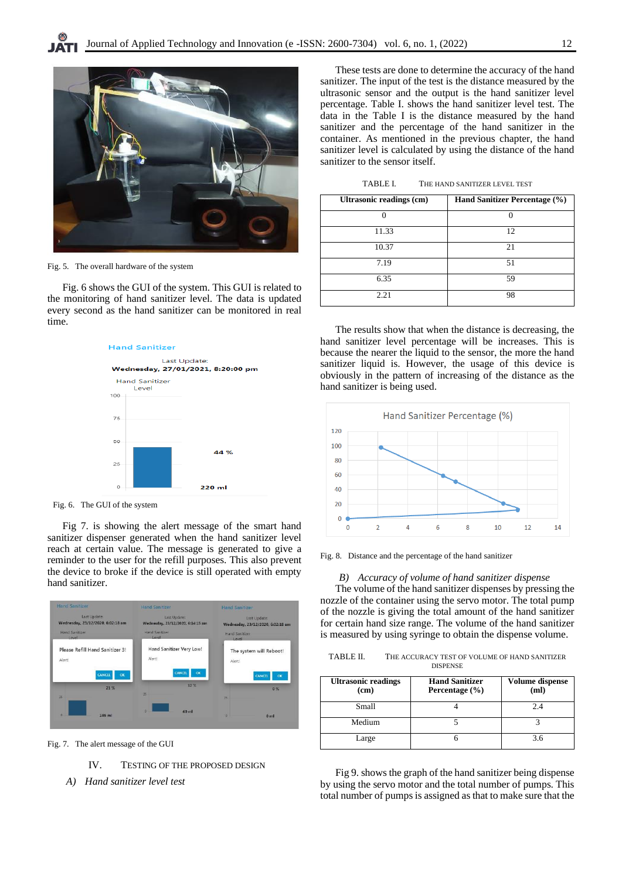

Fig. 5. The overall hardware of the system

Fig. 6 shows the GUI of the system. This GUI is related to the monitoring of hand sanitizer level. The data is updated every second as the hand sanitizer can be monitored in real time.



Fig. 6. The GUI of the system

Fig 7. is showing the alert message of the smart hand sanitizer dispenser generated when the hand sanitizer level reach at certain value. The message is generated to give a reminder to the user for the refill purposes. This also prevent the device to broke if the device is still operated with empty hand sanitizer.



Fig. 7. The alert message of the GUI

IV. TESTING OF THE PROPOSED DESIGN

*A) Hand sanitizer level test*

These tests are done to determine the accuracy of the hand sanitizer. The input of the test is the distance measured by the ultrasonic sensor and the output is the hand sanitizer level percentage. Table I. shows the hand sanitizer level test. The data in the Table I is the distance measured by the hand sanitizer and the percentage of the hand sanitizer in the container. As mentioned in the previous chapter, the hand sanitizer level is calculated by using the distance of the hand sanitizer to the sensor itself.

TABLE I. THE HAND SANITIZER LEVEL TEST

| <b>Ultrasonic readings (cm)</b> | Hand Sanitizer Percentage (%) |
|---------------------------------|-------------------------------|
| 0                               |                               |
| 11.33                           | 12                            |
| 10.37                           | 21                            |
| 7.19                            | 51                            |
| 6.35                            | 59                            |
| 2.21                            | 98                            |

The results show that when the distance is decreasing, the hand sanitizer level percentage will be increases. This is because the nearer the liquid to the sensor, the more the hand sanitizer liquid is. However, the usage of this device is obviously in the pattern of increasing of the distance as the hand sanitizer is being used.



Fig. 8. Distance and the percentage of the hand sanitizer

# *B) Accuracy of volume of hand sanitizer dispense*

The volume of the hand sanitizer dispenses by pressing the nozzle of the container using the servo motor. The total pump of the nozzle is giving the total amount of the hand sanitizer for certain hand size range. The volume of the hand sanitizer is measured by using syringe to obtain the dispense volume.

| TABLE II.       | THE ACCURACY TEST OF VOLUME OF HAND SANITIZER |  |
|-----------------|-----------------------------------------------|--|
| <b>DISPENSE</b> |                                               |  |

| <b>Ultrasonic readings</b><br>(cm) | <b>Hand Sanitizer</b><br>Percentage $(\% )$ | Volume dispense<br>(ml) |
|------------------------------------|---------------------------------------------|-------------------------|
| <b>Small</b>                       |                                             |                         |
| Medium                             |                                             |                         |
| Large                              |                                             | 3 6                     |

Fig 9. shows the graph of the hand sanitizer being dispense by using the servo motor and the total number of pumps. This total number of pumps is assigned as that to make sure that the